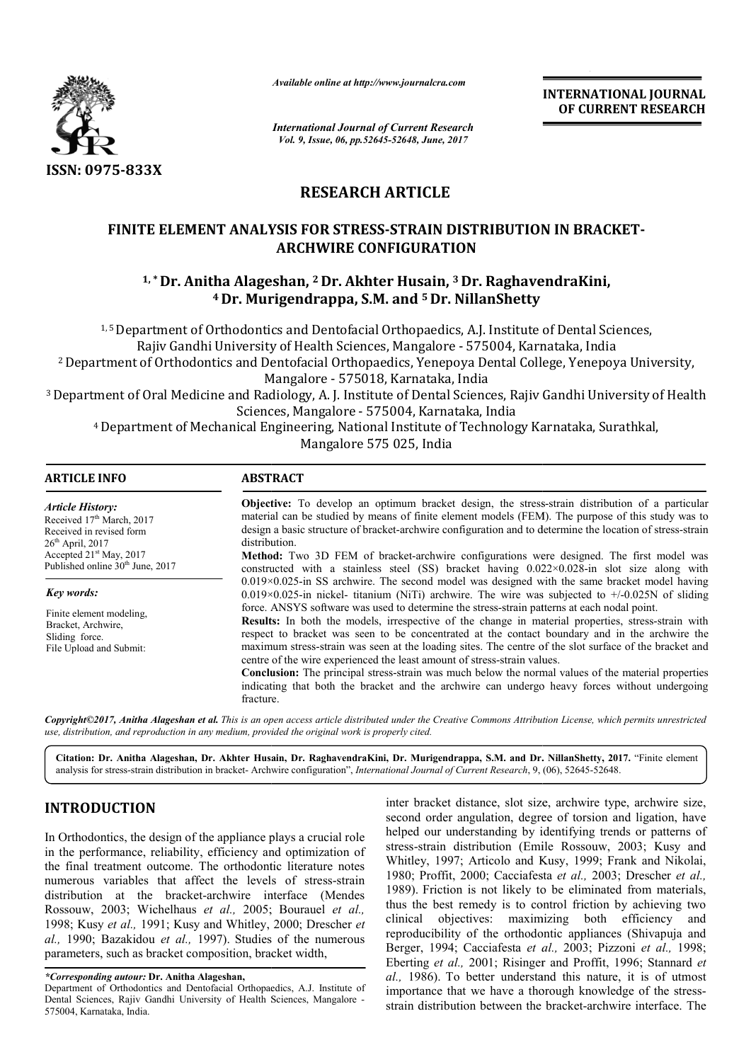

*Available online at http://www.journalcra.com*

**INTERNATIONAL JOURNAL OF CURRENT RESEARCH** 

*International Journal of Current Research Vol. 9, Issue, 06, pp.52645-52648, June, 2017*

# **RESEARCH ARTICLE**

### **FINITE ELEMENT ANALYSIS FOR STRESS STRESS-STRAIN DISTRIBUTION IN BRACKET STRAIN BRACKET-ARCHWIRE CONFIGURATION**

## **1, \*Dr. Anitha Alageshan, Dr. 2 Dr. Akhter Husain, 3 Dr. RaghavendraKini, 4 Dr. Murigendrappa, S.M. and 5 Dr. NillanShetty**

<sup>1, 5</sup> Department of Orthodontics and Dentofacial Orthopaedics, A.J. Institute of Dental Sciences, Rajiv Gandhi University of Health Sciences, Mangalore - 575004, Karnataka, India <sup>2</sup> Department of Orthodontics and Dentofacial Orthopaedics, Yenepoya Dental College, Yenepoya University, Mangalore - 575018, Karnataka, India Rajiv Gandhi University of Health Sciences, Mangalore - 575004, Karnataka, India<br>2 Department of Orthodontics and Dentofacial Orthopaedics, Yenepoya Dental College, Yenepoya University,<br>Mangalore - 575018, Karnataka, India

3 Department of Oral Medicine and Radiology, A. J. Institute of Dental Sciences, Rajiv Gandhi University of Health Sciences, Mangalore - 575004, Karnataka, India

4 Department of Mechanical Engineering, National Institute of Technology Karnataka, Surathkal, Mangalore 575 025, India

| <b>ARTICLE INFO</b>                                                                                                | <b>ABSTRACT</b>                                                                                                                                                                                                                                                                                                                                                                                                                                                                                                                                                                                                                                                                                                       |
|--------------------------------------------------------------------------------------------------------------------|-----------------------------------------------------------------------------------------------------------------------------------------------------------------------------------------------------------------------------------------------------------------------------------------------------------------------------------------------------------------------------------------------------------------------------------------------------------------------------------------------------------------------------------------------------------------------------------------------------------------------------------------------------------------------------------------------------------------------|
| <b>Article History:</b><br>Received 17 <sup>th</sup> March, 2017<br>Received in revised form<br>$26th$ April, 2017 | <b>Objective:</b> To develop an optimum bracket design, the stress-strain distribution of a particular<br>material can be studied by means of finite element models (FEM). The purpose of this study was to<br>design a basic structure of bracket-archwire configuration and to determine the location of stress-strain<br>distribution.                                                                                                                                                                                                                                                                                                                                                                             |
| Accepted 21 <sup>st</sup> May, 2017<br>Published online 30 <sup>th</sup> June, 2017                                | Method: Two 3D FEM of bracket-archwire configurations were designed. The first model was<br>constructed with a stainless steel (SS) bracket having $0.022 \times 0.028$ -in slot size along with                                                                                                                                                                                                                                                                                                                                                                                                                                                                                                                      |
| Key words:                                                                                                         | $0.019\times0.025$ -in SS archwire. The second model was designed with the same bracket model having<br>$0.019\times0.025$ -in nickel- titanium (NiTi) archwire. The wire was subjected to $+/0.025N$ of sliding                                                                                                                                                                                                                                                                                                                                                                                                                                                                                                      |
| Finite element modeling,<br>Bracket, Archwire,<br>Sliding force.<br>File Upload and Submit:                        | force. ANSYS software was used to determine the stress-strain patterns at each nodal point.<br>Results: In both the models, irrespective of the change in material properties, stress-strain with<br>respect to bracket was seen to be concentrated at the contact boundary and in the archwire the<br>maximum stress-strain was seen at the loading sites. The centre of the slot surface of the bracket and<br>centre of the wire experienced the least amount of stress-strain values.<br><b>Conclusion:</b> The principal stress-strain was much below the normal values of the material properties<br>indicating that both the bracket and the archwire can undergo heavy forces without undergoing<br>fracture. |

*Copyright©2017, Anitha Alageshan et al. This is an open access article distributed under the Creative Commons Att Attribution License, which ribution License, permits unrestricted use, distribution, and reproduction in any medium, provided the original work is properly cited.*

Citation: Dr. Anitha Alageshan, Dr. Akhter Husain, Dr. RaghavendraKini, Dr. Murigendrappa, S.M. and Dr. NillanShetty, 2017. "Finite element analysis for stress-strain distribution in bracket- Archwire configuration", *International Journal of Current Research*, 9, (06), 52645-52648.

### **INTRODUCTION**

In Orthodontics, the design of the appliance plays a crucial role in the performance, reliability, efficiency and optimization of the final treatment outcome. The orthodontic literature notes numerous variables that affect the levels of stress stress-strain distribution at the bracket-archwire interface (Mendes Rossouw, 2003; Wichelhaus *et al.,* 2005; Bourauel *et al.,*  1998; Kusy et al., 1991; Kusy and Whitley, 2000; Drescher et *al.,* 1990; Bazakidou *et al.,* 1997). Studies of the numerous parameters, such as bracket composition, bracket width,

inter bracket distance, slot size, archwire type, archwire size, second order angulation, degree of torsion and ligation, have helped our understanding by identifying trends or patterns of stress-strain distribution (Emile Rossouw Whitley, 1997; Articolo and Kusy, 1999; Frank and Nikolai, 1980; Proffit, 2000; Cacciafesta *et al.,* 2003; Drescher *et al.,*  1989). Friction is not likely to be eliminated from materials, 1989). Friction is not likely to be eliminated from materials, thus the best remedy is to control friction by achieving two clinical objectives: maximizing both efficiency and reproducibility of the orthodontic appliances (Shivapuja and Berger, 1994; Cacciafesta et al., 2003; Pizzoni et al., 1998; Eberting *et al.,* 2001; Risinger and Proffit, 1996; Stannard *et al.,* 1986). To better understand this nature, it is of utmost al., 1986). To better understand this nature, it is of utmost importance that we have a thorough knowledge of the stressstrain distribution between the bracket-archwire interface. The order angulation, degree of torsion and ligation, have<br>our understanding by identifying trends or patterns of<br>train distribution (Emile Rossouw, 2003; Kusy and

*<sup>\*</sup>Corresponding autour:* **Dr. Anitha Alageshan,** 

Department of Orthodontics and Dentofacial Orthopaedics, A.J. Institute of Dental Sciences, Rajiv Gandhi University of Health Sciences, Mangalore - 575004, Karnataka, India.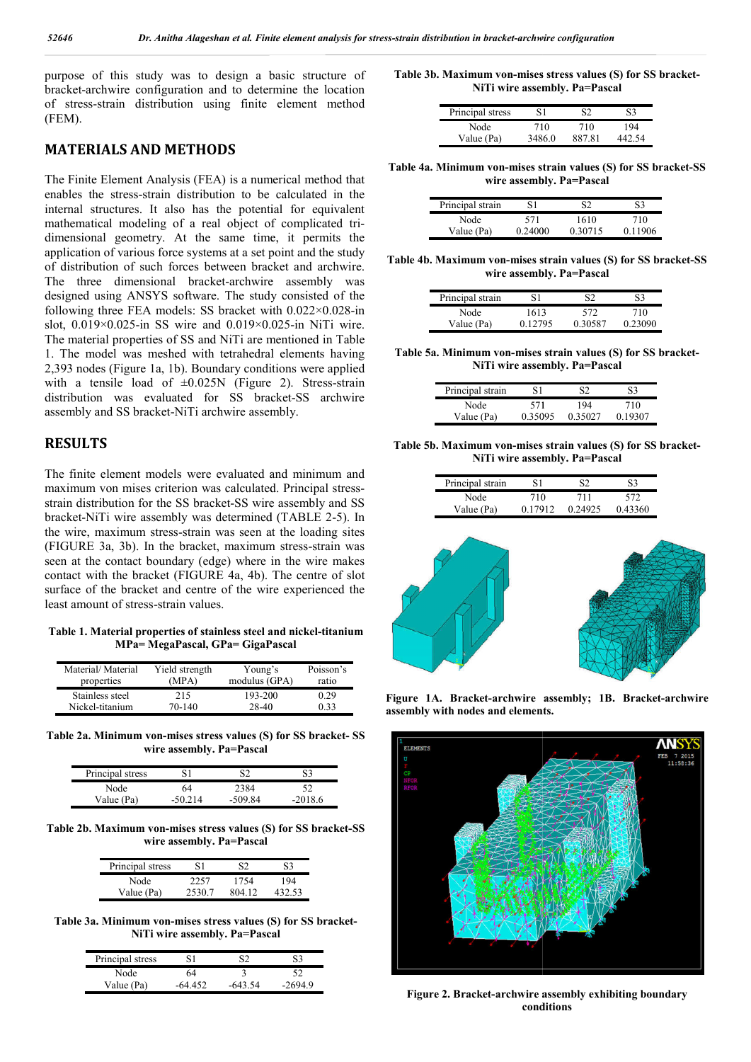purpose of this study was to design a basic structure of bracket-archwire configuration and to determine the location of stress-strain distribution using finite element method (FEM).

#### **MATERIALS AND METHODS**

The Finite Element Analysis (FEA) is a numerical method that enables the stress-strain distribution to be calculated in the internal structures. It also has the potential for equivalent mathematical modeling of a real object of complicated tri dimensional geometry. At the same time, it permits the application of various force systems at a set point and the study of distribution of such forces between bracket and archwire. The three dimensional bracket-archwire assembly was designed using ANSYS software. The study consisted of the following three FEA models: SS bracket with 0.022×0.028 0.022×0.028-in slot, 0.019×0.025-in SS wire and 0.019×0.025 in 0.019×0.025-in NiTi wire. The material properties of SS and NiTi are mentioned in Table 1. The model was meshed with tetrahedral elements having 2,393 nodes (Figure 1a, 1b). Boundary conditions were applied with a tensile load of  $\pm 0.025N$  (Figure 2). Stress-strain distribution was evaluated for SS bracket-SS archwire assembly and SS bracket-NiTi archwire assembly. archwire configuration and to determine the location<br>
SS-strain distribution using finite element method<br> **RIALS AND METHODS**<br>
ite Element Analysis (FEA) is a numerical method that<br>
the stress-strain distribution to be cal as meshed with tetrahedral elements having<br>ure 1a, 1b). Boundary conditions were applied<br>load of  $\pm 0.025N$  (Figure 2). Stress-strain

### **RESULTS**

The finite element models were evaluated and minimum and assembly and SS bracket-NiTi archwire assembly.<br> **RESULTS**<br>
The finite element models were evaluated and minimum and<br>
maximum von mises criterion was calculated. Principal stressstrain distribution for the SS bracket-SS wire assembly and SS strain distribution for the SS bracket-SS wire assembly and SS<br>bracket-NiTi wire assembly was determined (TABLE 2-5). In the wire, maximum stress-strain was seen at the loading sites the wire, maximum stress-strain was seen at the loading sites (FIGURE 3a, 3b). In the bracket, maximum stress-strain was seen at the contact boundary (edge) where in the wire makes contact with the bracket (FIGURE 4a, 4b). The centre of slot surface of the bracket and centre of the wire experienced the least amount of stress-strain values.

**Table 1. Material properties of stainless steel and nickel nickel-titanium MPa= MegaPascal, GPa= GigaPascal**

| Material/Material | Yield strength | Young's         | Poisson's |
|-------------------|----------------|-----------------|-----------|
| properties        | (MPA)          | modulus $(GPA)$ | ratio     |
| Stainless steel   | 215            | 193-200         | 0.29      |
| Nickel-titanium   | 70-140         | 28-40           | 0.33      |

**Table 2a. Minimum von-mises stress values (S) for SS bracket mises bracket- SS wire assembly. Pa=Pascal**

| Principal stress |         | S2      |          |
|------------------|---------|---------|----------|
| Node             | 64      | 2384    | 52       |
| Value (Pa)       | -50.214 | -509.84 | $-20186$ |

**Table 2b. Maximum von-mises stress values (S) for SS bracket mises bracket-SS wire assembly. Pa=Pascal**

| Principal stress | 81     | $\mathcal{L}$ | 83     |
|------------------|--------|---------------|--------|
| Node             | 2257   | 1754          | 194    |
| Value (Pa)       | 2530.7 | 804 12        | 432.53 |

**Table 3a. Minimum von-mises stress values (S) for SS bracket mises bracket-NiTi wire assembly. Pa=Pascal**

| Principal stress |         |           |          |
|------------------|---------|-----------|----------|
| Node             | 64      |           |          |
| Value (Pa)       | -64.452 | $-643.54$ | $-26949$ |

**Table 3b. Maximum von-mises stress values (S) for SS bracket mises for SS bracket-NiTi wire assembly. Pa=Pascal wire** 

| Principal stress | 81     | ຕາ     | 83  |
|------------------|--------|--------|-----|
| Node             | 710    | 710    | 194 |
| Value (Pa)       | 3486 0 | 887.81 |     |

**Table 4a. Minimum von-mises strain values (S) for SS bracket mises values bracket-SS wire assembly. Pa=Pascal Pa=Pascal**

| Principal strain | S1      | S2      | 83      |
|------------------|---------|---------|---------|
| Node             | 571     | 1610    | 710     |
| Value (Pa)       | 0.24000 | 0.30715 | 0.11906 |

**Table 4b. Maximum von-mises strain values (S) for SS bracket mises bracket-SS wire assembly. Pa=Pascal Pa=Pascal**

| Principal strain | S1      | S2      | S3      |
|------------------|---------|---------|---------|
| Node             | 1613    | 572     | 710     |
| Value (Pa)       | 0.12795 | 0.30587 | 0.23090 |

Table 5a. Minimum von-mises strain values (S) for SS bracket-**NiTi wire assembly. Pa=Pascal wire** 

| Principal strain | S1      | S2      | S3      |
|------------------|---------|---------|---------|
| Node             | 571     | 194     | 710     |
| Value (Pa)       | 0.35095 | 0.35027 | 0.19307 |

**Table 5b. Maximum von-mises strain values (S) for SS bracket mises strain values bracket-NiTi wire assembly. Pa=Pascal wire** 

| Principal strain | 81      | 82.     | S3      |
|------------------|---------|---------|---------|
| Node             | 710     | 711     | 572     |
| Value (Pa)       | 0.17912 | 0.24925 | 0.43360 |



Figure 1A. Bracket-archwire assembly; 1B. Bracket-archwire **assembly with nodes and elements.**



**Figure 2. Bracket-archwire assembly conditions**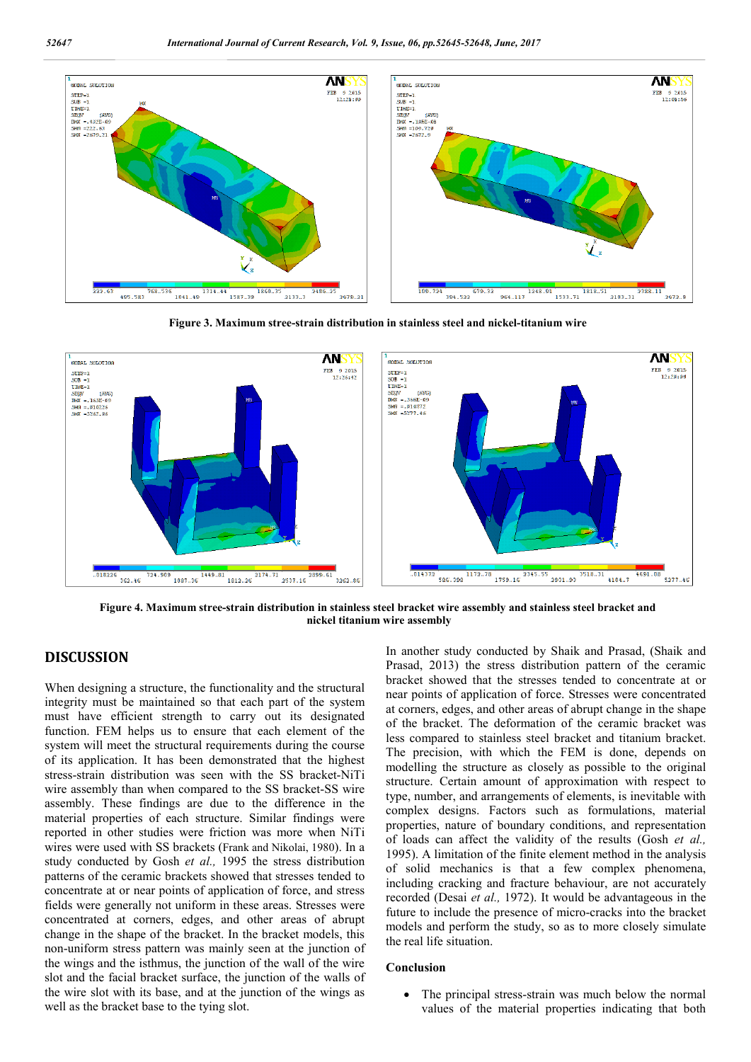

**Figure 3. Maximum stree-strain distribution in stainless steel and nickel-titanium wire**



**Figure 4. Maximum stree-strain distribution in stainless steel bracket wire assembly and stainless steel bracket and nickel titanium wire assembly**

### **DISCUSSION**

When designing a structure, the functionality and the structural integrity must be maintained so that each part of the system must have efficient strength to carry out its designated function. FEM helps us to ensure that each element of the system will meet the structural requirements during the course of its application. It has been demonstrated that the highest stress-strain distribution was seen with the SS bracket-NiTi wire assembly than when compared to the SS bracket-SS wire assembly. These findings are due to the difference in the material properties of each structure. Similar findings were reported in other studies were friction was more when NiTi wires were used with SS brackets (Frank and Nikolai, 1980). In a study conducted by Gosh *et al.,* 1995 the stress distribution patterns of the ceramic brackets showed that stresses tended to concentrate at or near points of application of force, and stress fields were generally not uniform in these areas. Stresses were concentrated at corners, edges, and other areas of abrupt change in the shape of the bracket. In the bracket models, this non-uniform stress pattern was mainly seen at the junction of the wings and the isthmus, the junction of the wall of the wire slot and the facial bracket surface, the junction of the walls of the wire slot with its base, and at the junction of the wings as well as the bracket base to the tying slot.

In another study conducted by Shaik and Prasad, (Shaik and Prasad, 2013) the stress distribution pattern of the ceramic bracket showed that the stresses tended to concentrate at or near points of application of force. Stresses were concentrated at corners, edges, and other areas of abrupt change in the shape of the bracket. The deformation of the ceramic bracket was less compared to stainless steel bracket and titanium bracket. The precision, with which the FEM is done, depends on modelling the structure as closely as possible to the original structure. Certain amount of approximation with respect to type, number, and arrangements of elements, is inevitable with complex designs. Factors such as formulations, material properties, nature of boundary conditions, and representation of loads can affect the validity of the results (Gosh *et al.,*  1995). A limitation of the finite element method in the analysis of solid mechanics is that a few complex phenomena, including cracking and fracture behaviour, are not accurately recorded (Desai *et al.,* 1972). It would be advantageous in the future to include the presence of micro-cracks into the bracket models and perform the study, so as to more closely simulate the real life situation.

#### **Conclusion**

 The principal stress-strain was much below the normal values of the material properties indicating that both